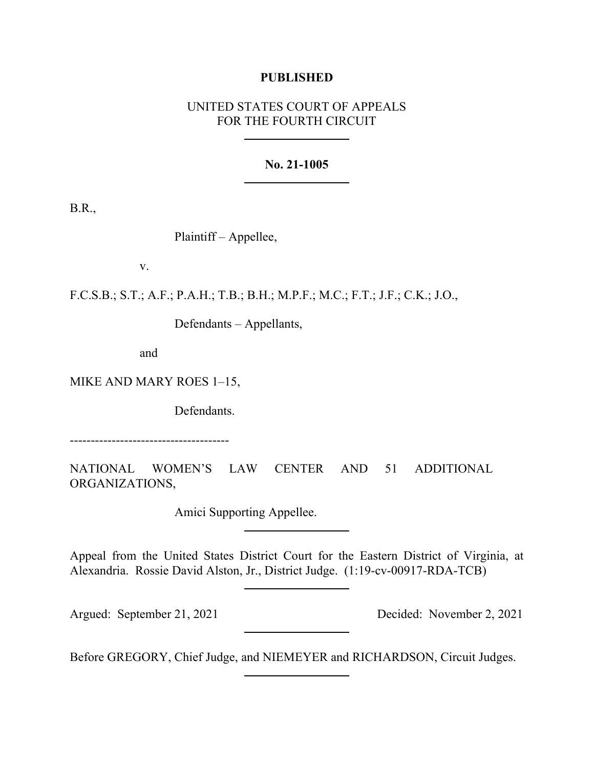## **PUBLISHED**

# UNITED STATES COURT OF APPEALS FOR THE FOURTH CIRCUIT

### **No. 21-1005**

B.R.,

Plaintiff – Appellee,

v.

F.C.S.B.; S.T.; A.F.; P.A.H.; T.B.; B.H.; M.P.F.; M.C.; F.T.; J.F.; C.K.; J.O.,

Defendants – Appellants,

and

MIKE AND MARY ROES 1–15,

Defendants.

--------------------------------------

NATIONAL WOMEN'S LAW CENTER AND 51 ADDITIONAL ORGANIZATIONS,

Amici Supporting Appellee.

Appeal from the United States District Court for the Eastern District of Virginia, at Alexandria. Rossie David Alston, Jr., District Judge. (1:19-cv-00917-RDA-TCB)

Argued: September 21, 2021 Decided: November 2, 2021

Before GREGORY, Chief Judge, and NIEMEYER and RICHARDSON, Circuit Judges.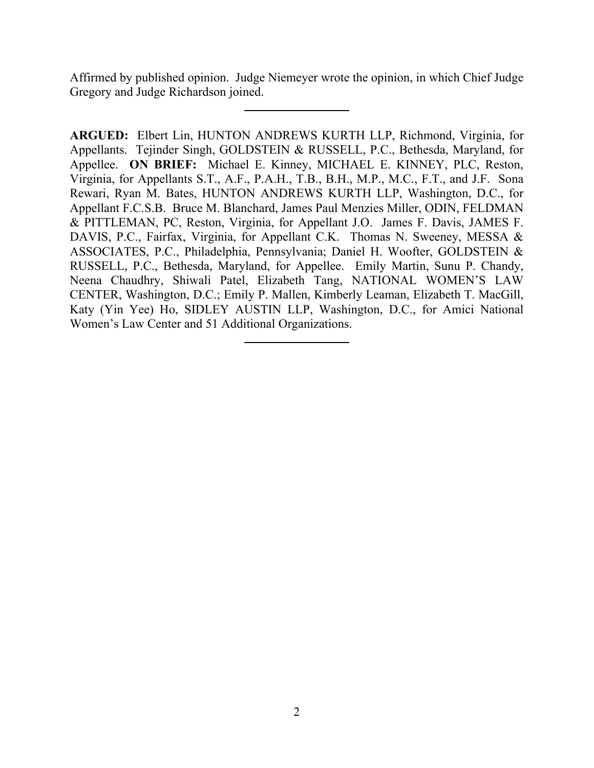Affirmed by published opinion. Judge Niemeyer wrote the opinion, in which Chief Judge Gregory and Judge Richardson joined.

**ARGUED:** Elbert Lin, HUNTON ANDREWS KURTH LLP, Richmond, Virginia, for Appellants. Tejinder Singh, GOLDSTEIN & RUSSELL, P.C., Bethesda, Maryland, for Appellee. **ON BRIEF:** Michael E. Kinney, MICHAEL E. KINNEY, PLC, Reston, Virginia, for Appellants S.T., A.F., P.A.H., T.B., B.H., M.P., M.C., F.T., and J.F. Sona Rewari, Ryan M. Bates, HUNTON ANDREWS KURTH LLP, Washington, D.C., for Appellant F.C.S.B. Bruce M. Blanchard, James Paul Menzies Miller, ODIN, FELDMAN & PITTLEMAN, PC, Reston, Virginia, for Appellant J.O. James F. Davis, JAMES F. DAVIS, P.C., Fairfax, Virginia, for Appellant C.K. Thomas N. Sweeney, MESSA & ASSOCIATES, P.C., Philadelphia, Pennsylvania; Daniel H. Woofter, GOLDSTEIN & RUSSELL, P.C., Bethesda, Maryland, for Appellee. Emily Martin, Sunu P. Chandy, Neena Chaudhry, Shiwali Patel, Elizabeth Tang, NATIONAL WOMEN'S LAW CENTER, Washington, D.C.; Emily P. Mallen, Kimberly Leaman, Elizabeth T. MacGill, Katy (Yin Yee) Ho, SIDLEY AUSTIN LLP, Washington, D.C., for Amici National Women's Law Center and 51 Additional Organizations.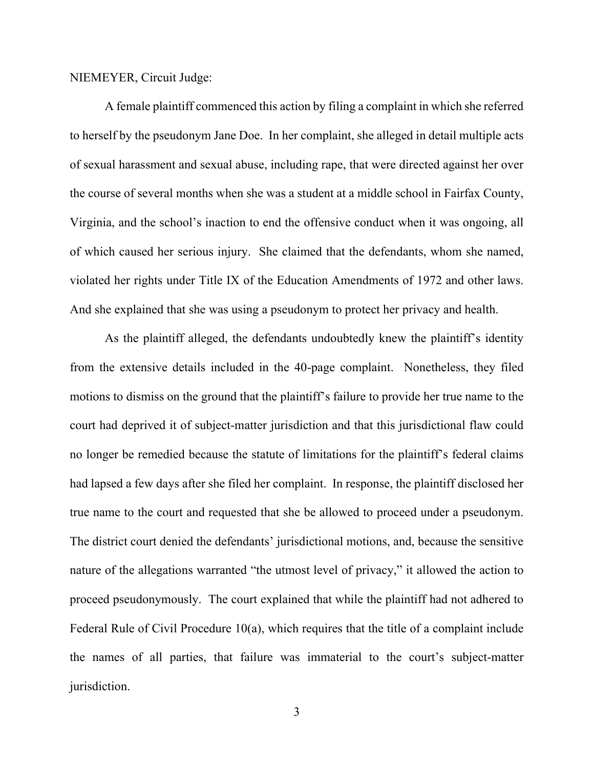#### NIEMEYER, Circuit Judge:

A female plaintiff commenced this action by filing a complaint in which she referred to herself by the pseudonym Jane Doe. In her complaint, she alleged in detail multiple acts of sexual harassment and sexual abuse, including rape, that were directed against her over the course of several months when she was a student at a middle school in Fairfax County, Virginia, and the school's inaction to end the offensive conduct when it was ongoing, all of which caused her serious injury. She claimed that the defendants, whom she named, violated her rights under Title IX of the Education Amendments of 1972 and other laws. And she explained that she was using a pseudonym to protect her privacy and health.

As the plaintiff alleged, the defendants undoubtedly knew the plaintiff's identity from the extensive details included in the 40-page complaint. Nonetheless, they filed motions to dismiss on the ground that the plaintiff's failure to provide her true name to the court had deprived it of subject-matter jurisdiction and that this jurisdictional flaw could no longer be remedied because the statute of limitations for the plaintiff's federal claims had lapsed a few days after she filed her complaint. In response, the plaintiff disclosed her true name to the court and requested that she be allowed to proceed under a pseudonym. The district court denied the defendants' jurisdictional motions, and, because the sensitive nature of the allegations warranted "the utmost level of privacy," it allowed the action to proceed pseudonymously. The court explained that while the plaintiff had not adhered to Federal Rule of Civil Procedure 10(a), which requires that the title of a complaint include the names of all parties, that failure was immaterial to the court's subject-matter jurisdiction.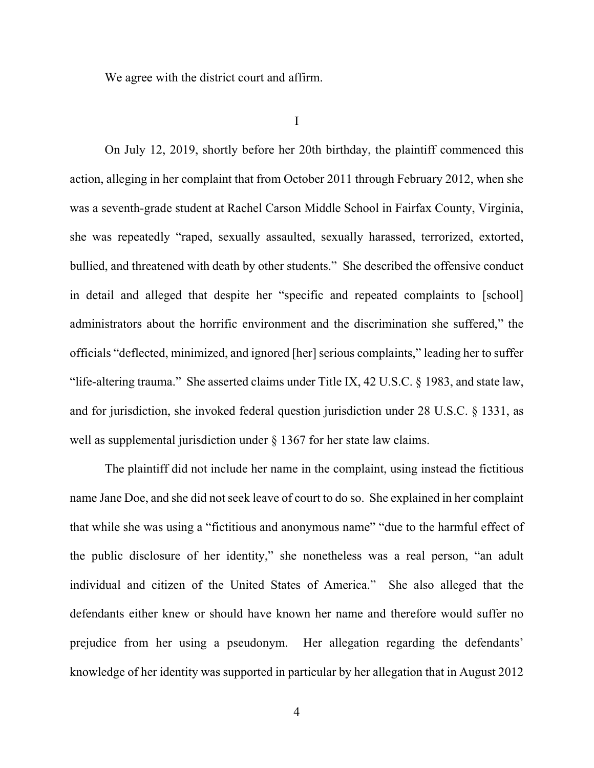We agree with the district court and affirm.

I

On July 12, 2019, shortly before her 20th birthday, the plaintiff commenced this action, alleging in her complaint that from October 2011 through February 2012, when she was a seventh-grade student at Rachel Carson Middle School in Fairfax County, Virginia, she was repeatedly "raped, sexually assaulted, sexually harassed, terrorized, extorted, bullied, and threatened with death by other students." She described the offensive conduct in detail and alleged that despite her "specific and repeated complaints to [school] administrators about the horrific environment and the discrimination she suffered," the officials "deflected, minimized, and ignored [her] serious complaints," leading her to suffer "life-altering trauma." She asserted claims under Title IX, 42 U.S.C. § 1983, and state law, and for jurisdiction, she invoked federal question jurisdiction under 28 U.S.C. § 1331, as well as supplemental jurisdiction under § 1367 for her state law claims.

The plaintiff did not include her name in the complaint, using instead the fictitious name Jane Doe, and she did not seek leave of court to do so. She explained in her complaint that while she was using a "fictitious and anonymous name" "due to the harmful effect of the public disclosure of her identity," she nonetheless was a real person, "an adult individual and citizen of the United States of America." She also alleged that the defendants either knew or should have known her name and therefore would suffer no prejudice from her using a pseudonym. Her allegation regarding the defendants' knowledge of her identity was supported in particular by her allegation that in August 2012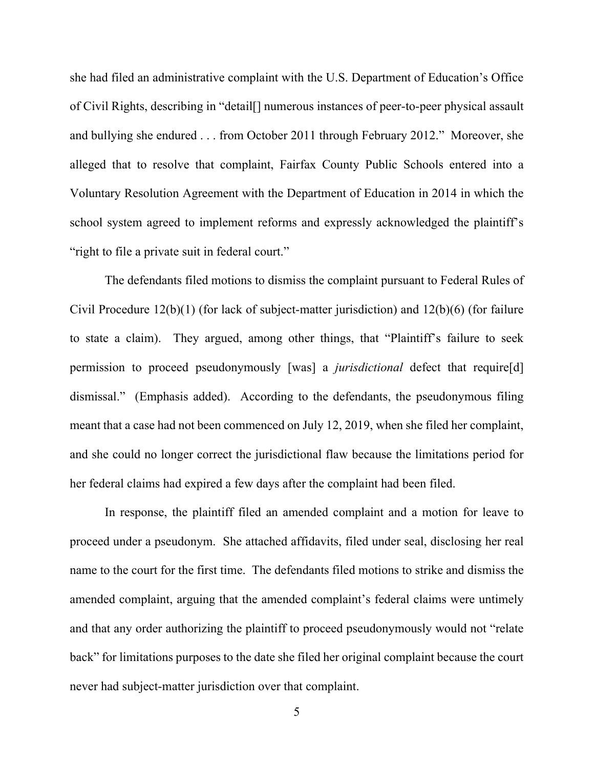she had filed an administrative complaint with the U.S. Department of Education's Office of Civil Rights, describing in "detail[] numerous instances of peer-to-peer physical assault and bullying she endured . . . from October 2011 through February 2012." Moreover, she alleged that to resolve that complaint, Fairfax County Public Schools entered into a Voluntary Resolution Agreement with the Department of Education in 2014 in which the school system agreed to implement reforms and expressly acknowledged the plaintiff's "right to file a private suit in federal court."

The defendants filed motions to dismiss the complaint pursuant to Federal Rules of Civil Procedure 12(b)(1) (for lack of subject-matter jurisdiction) and 12(b)(6) (for failure to state a claim). They argued, among other things, that "Plaintiff's failure to seek permission to proceed pseudonymously [was] a *jurisdictional* defect that require[d] dismissal." (Emphasis added). According to the defendants, the pseudonymous filing meant that a case had not been commenced on July 12, 2019, when she filed her complaint, and she could no longer correct the jurisdictional flaw because the limitations period for her federal claims had expired a few days after the complaint had been filed.

In response, the plaintiff filed an amended complaint and a motion for leave to proceed under a pseudonym. She attached affidavits, filed under seal, disclosing her real name to the court for the first time. The defendants filed motions to strike and dismiss the amended complaint, arguing that the amended complaint's federal claims were untimely and that any order authorizing the plaintiff to proceed pseudonymously would not "relate back" for limitations purposes to the date she filed her original complaint because the court never had subject-matter jurisdiction over that complaint.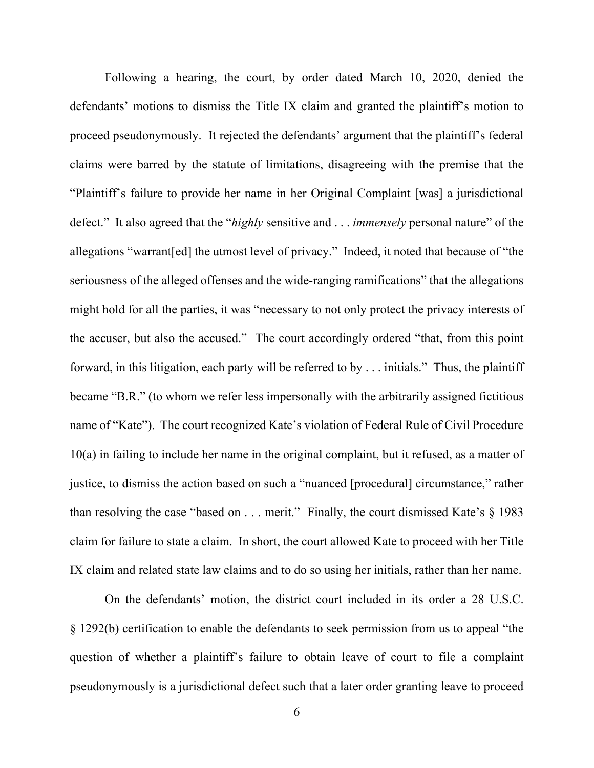Following a hearing, the court, by order dated March 10, 2020, denied the defendants' motions to dismiss the Title IX claim and granted the plaintiff's motion to proceed pseudonymously. It rejected the defendants' argument that the plaintiff's federal claims were barred by the statute of limitations, disagreeing with the premise that the "Plaintiff's failure to provide her name in her Original Complaint [was] a jurisdictional defect." It also agreed that the "*highly* sensitive and . . . *immensely* personal nature" of the allegations "warrant[ed] the utmost level of privacy." Indeed, it noted that because of "the seriousness of the alleged offenses and the wide-ranging ramifications" that the allegations might hold for all the parties, it was "necessary to not only protect the privacy interests of the accuser, but also the accused." The court accordingly ordered "that, from this point forward, in this litigation, each party will be referred to by . . . initials." Thus, the plaintiff became "B.R." (to whom we refer less impersonally with the arbitrarily assigned fictitious name of "Kate"). The court recognized Kate's violation of Federal Rule of Civil Procedure 10(a) in failing to include her name in the original complaint, but it refused, as a matter of justice, to dismiss the action based on such a "nuanced [procedural] circumstance," rather than resolving the case "based on . . . merit." Finally, the court dismissed Kate's § 1983 claim for failure to state a claim. In short, the court allowed Kate to proceed with her Title IX claim and related state law claims and to do so using her initials, rather than her name.

On the defendants' motion, the district court included in its order a 28 U.S.C. § 1292(b) certification to enable the defendants to seek permission from us to appeal "the question of whether a plaintiff's failure to obtain leave of court to file a complaint pseudonymously is a jurisdictional defect such that a later order granting leave to proceed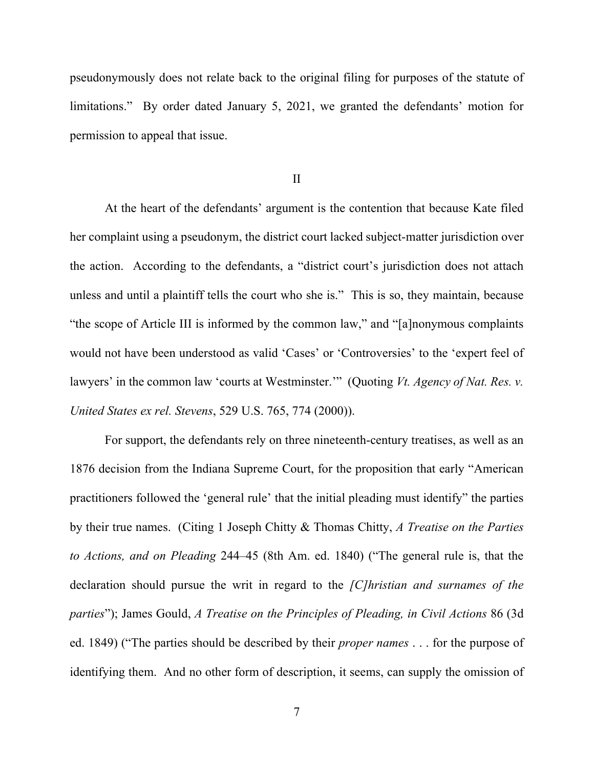pseudonymously does not relate back to the original filing for purposes of the statute of limitations." By order dated January 5, 2021, we granted the defendants' motion for permission to appeal that issue.

II

At the heart of the defendants' argument is the contention that because Kate filed her complaint using a pseudonym, the district court lacked subject-matter jurisdiction over the action. According to the defendants, a "district court's jurisdiction does not attach unless and until a plaintiff tells the court who she is." This is so, they maintain, because "the scope of Article III is informed by the common law," and "[a]nonymous complaints would not have been understood as valid 'Cases' or 'Controversies' to the 'expert feel of lawyers' in the common law 'courts at Westminster.'" (Quoting *Vt. Agency of Nat. Res. v. United States ex rel. Stevens*, 529 U.S. 765, 774 (2000)).

For support, the defendants rely on three nineteenth-century treatises, as well as an 1876 decision from the Indiana Supreme Court, for the proposition that early "American practitioners followed the 'general rule' that the initial pleading must identify" the parties by their true names. (Citing 1 Joseph Chitty & Thomas Chitty, *A Treatise on the Parties to Actions, and on Pleading* 244–45 (8th Am. ed. 1840) ("The general rule is, that the declaration should pursue the writ in regard to the *[C]hristian and surnames of the parties*"); James Gould, *A Treatise on the Principles of Pleading, in Civil Actions* 86 (3d ed. 1849) ("The parties should be described by their *proper names* . . . for the purpose of identifying them. And no other form of description, it seems, can supply the omission of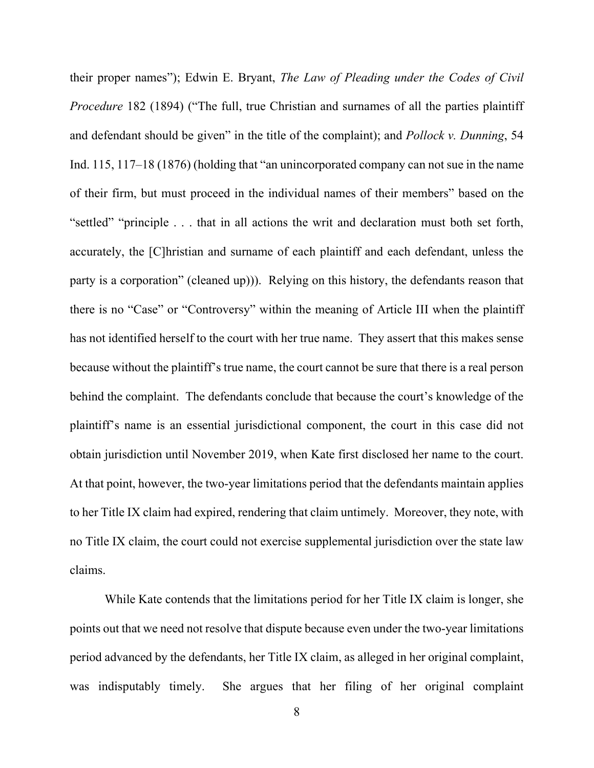their proper names"); Edwin E. Bryant, *The Law of Pleading under the Codes of Civil Procedure* 182 (1894) ("The full, true Christian and surnames of all the parties plaintiff and defendant should be given" in the title of the complaint); and *Pollock v. Dunning*, 54 Ind. 115, 117–18 (1876) (holding that "an unincorporated company can not sue in the name of their firm, but must proceed in the individual names of their members" based on the "settled" "principle . . . that in all actions the writ and declaration must both set forth, accurately, the [C]hristian and surname of each plaintiff and each defendant, unless the party is a corporation" (cleaned up))). Relying on this history, the defendants reason that there is no "Case" or "Controversy" within the meaning of Article III when the plaintiff has not identified herself to the court with her true name. They assert that this makes sense because without the plaintiff's true name, the court cannot be sure that there is a real person behind the complaint. The defendants conclude that because the court's knowledge of the plaintiff's name is an essential jurisdictional component, the court in this case did not obtain jurisdiction until November 2019, when Kate first disclosed her name to the court. At that point, however, the two-year limitations period that the defendants maintain applies to her Title IX claim had expired, rendering that claim untimely. Moreover, they note, with no Title IX claim, the court could not exercise supplemental jurisdiction over the state law claims.

While Kate contends that the limitations period for her Title IX claim is longer, she points out that we need not resolve that dispute because even under the two-year limitations period advanced by the defendants, her Title IX claim, as alleged in her original complaint, was indisputably timely. She argues that her filing of her original complaint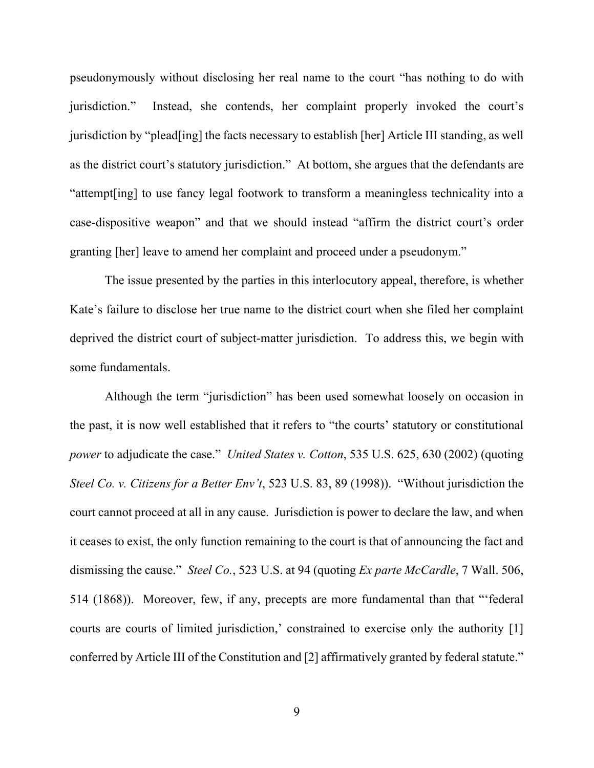pseudonymously without disclosing her real name to the court "has nothing to do with jurisdiction." Instead, she contends, her complaint properly invoked the court's jurisdiction by "plead[ing] the facts necessary to establish [her] Article III standing, as well as the district court's statutory jurisdiction." At bottom, she argues that the defendants are "attempt[ing] to use fancy legal footwork to transform a meaningless technicality into a case-dispositive weapon" and that we should instead "affirm the district court's order granting [her] leave to amend her complaint and proceed under a pseudonym."

The issue presented by the parties in this interlocutory appeal, therefore, is whether Kate's failure to disclose her true name to the district court when she filed her complaint deprived the district court of subject-matter jurisdiction. To address this, we begin with some fundamentals.

Although the term "jurisdiction" has been used somewhat loosely on occasion in the past, it is now well established that it refers to "the courts' statutory or constitutional *power* to adjudicate the case." *United States v. Cotton*, 535 U.S. 625, 630 (2002) (quoting *Steel Co. v. Citizens for a Better Env't*, 523 U.S. 83, 89 (1998)). "Without jurisdiction the court cannot proceed at all in any cause. Jurisdiction is power to declare the law, and when it ceases to exist, the only function remaining to the court is that of announcing the fact and dismissing the cause." *Steel Co.*, 523 U.S. at 94 (quoting *Ex parte McCardle*, 7 Wall. 506, 514 (1868)). Moreover, few, if any, precepts are more fundamental than that "'federal courts are courts of limited jurisdiction,' constrained to exercise only the authority [1] conferred by Article III of the Constitution and [2] affirmatively granted by federal statute."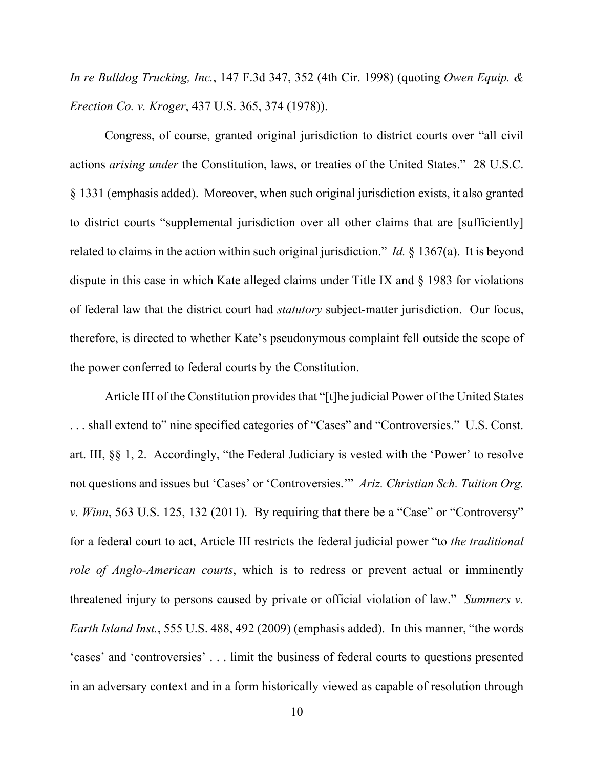*In re Bulldog Trucking, Inc.*, 147 F.3d 347, 352 (4th Cir. 1998) (quoting *Owen Equip. & Erection Co. v. Kroger*, 437 U.S. 365, 374 (1978)).

Congress, of course, granted original jurisdiction to district courts over "all civil actions *arising under* the Constitution, laws, or treaties of the United States." 28 U.S.C. § 1331 (emphasis added). Moreover, when such original jurisdiction exists, it also granted to district courts "supplemental jurisdiction over all other claims that are [sufficiently] related to claims in the action within such original jurisdiction." *Id.* § 1367(a). It is beyond dispute in this case in which Kate alleged claims under Title IX and § 1983 for violations of federal law that the district court had *statutory* subject-matter jurisdiction. Our focus, therefore, is directed to whether Kate's pseudonymous complaint fell outside the scope of the power conferred to federal courts by the Constitution.

Article III of the Constitution provides that "[t]he judicial Power of the United States . . . shall extend to" nine specified categories of "Cases" and "Controversies." U.S. Const. art. III, §§ 1, 2. Accordingly, "the Federal Judiciary is vested with the 'Power' to resolve not questions and issues but 'Cases' or 'Controversies.'" *Ariz. Christian Sch. Tuition Org. v. Winn*, 563 U.S. 125, 132 (2011). By requiring that there be a "Case" or "Controversy" for a federal court to act, Article III restricts the federal judicial power "to *the traditional role of Anglo-American courts*, which is to redress or prevent actual or imminently threatened injury to persons caused by private or official violation of law." *Summers v. Earth Island Inst.*, 555 U.S. 488, 492 (2009) (emphasis added). In this manner, "the words 'cases' and 'controversies' . . . limit the business of federal courts to questions presented in an adversary context and in a form historically viewed as capable of resolution through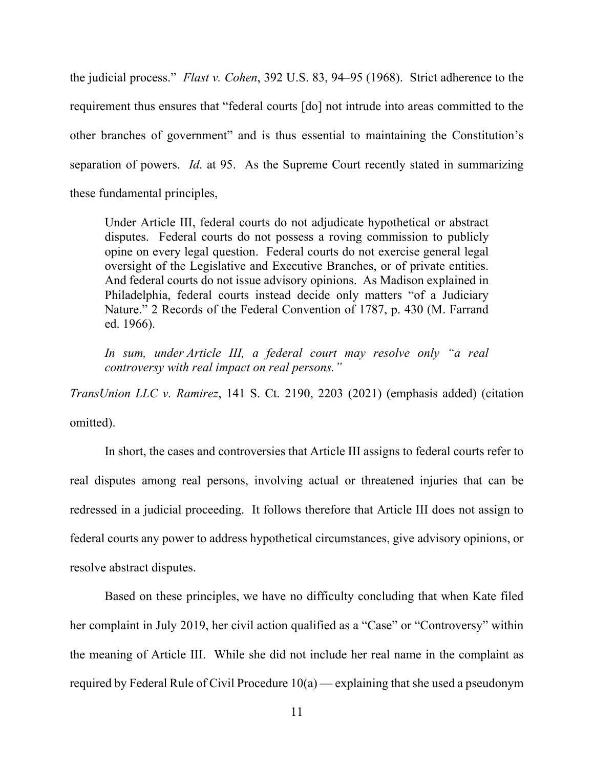the judicial process." *Flast v. Cohen*, 392 U.S. 83, 94–95 (1968). Strict adherence to the requirement thus ensures that "federal courts [do] not intrude into areas committed to the other branches of government" and is thus essential to maintaining the Constitution's separation of powers. *Id.* at 95. As the Supreme Court recently stated in summarizing these fundamental principles,

Under Article III, federal courts do not adjudicate hypothetical or abstract disputes. Federal courts do not possess a roving commission to publicly opine on every legal question. Federal courts do not exercise general legal oversight of the Legislative and Executive Branches, or of private entities. And federal courts do not issue advisory opinions. As Madison explained in Philadelphia, federal courts instead decide only matters "of a Judiciary Nature." 2 Records of the Federal Convention of 1787, p. 430 (M. Farrand ed. 1966).

*In sum, under Article III, a federal court may resolve only "a real controversy with real impact on real persons."*

*TransUnion LLC v. Ramirez*, 141 S. Ct. 2190, 2203 (2021) (emphasis added) (citation omitted).

In short, the cases and controversies that Article III assigns to federal courts refer to real disputes among real persons, involving actual or threatened injuries that can be redressed in a judicial proceeding. It follows therefore that Article III does not assign to federal courts any power to address hypothetical circumstances, give advisory opinions, or resolve abstract disputes.

Based on these principles, we have no difficulty concluding that when Kate filed her complaint in July 2019, her civil action qualified as a "Case" or "Controversy" within the meaning of Article III. While she did not include her real name in the complaint as required by Federal Rule of Civil Procedure 10(a) — explaining that she used a pseudonym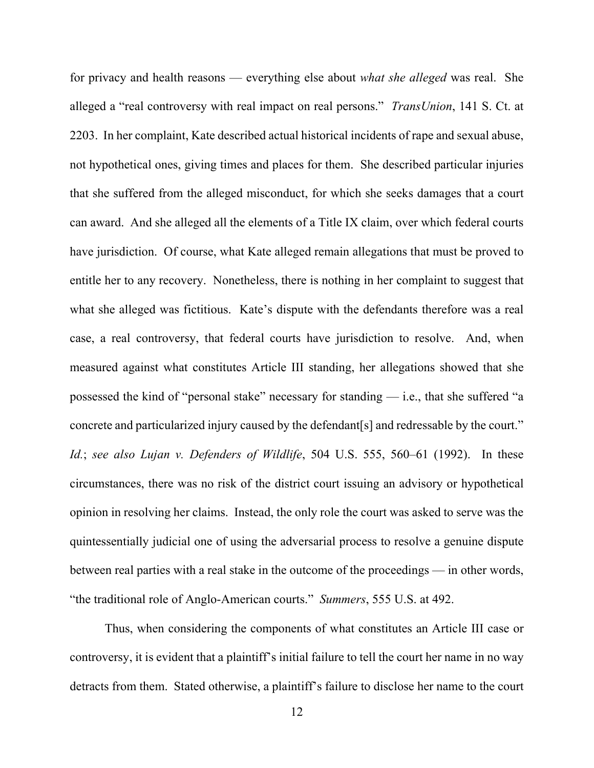for privacy and health reasons — everything else about *what she alleged* was real. She alleged a "real controversy with real impact on real persons." *TransUnion*, 141 S. Ct. at 2203. In her complaint, Kate described actual historical incidents of rape and sexual abuse, not hypothetical ones, giving times and places for them. She described particular injuries that she suffered from the alleged misconduct, for which she seeks damages that a court can award. And she alleged all the elements of a Title IX claim, over which federal courts have jurisdiction. Of course, what Kate alleged remain allegations that must be proved to entitle her to any recovery. Nonetheless, there is nothing in her complaint to suggest that what she alleged was fictitious. Kate's dispute with the defendants therefore was a real case, a real controversy, that federal courts have jurisdiction to resolve. And, when measured against what constitutes Article III standing, her allegations showed that she possessed the kind of "personal stake" necessary for standing — i.e., that she suffered "a concrete and particularized injury caused by the defendant[s] and redressable by the court." *Id.*; *see also Lujan v. Defenders of Wildlife*, 504 U.S. 555, 560–61 (1992). In these circumstances, there was no risk of the district court issuing an advisory or hypothetical opinion in resolving her claims. Instead, the only role the court was asked to serve was the quintessentially judicial one of using the adversarial process to resolve a genuine dispute between real parties with a real stake in the outcome of the proceedings — in other words, "the traditional role of Anglo-American courts." *Summers*, 555 U.S. at 492.

Thus, when considering the components of what constitutes an Article III case or controversy, it is evident that a plaintiff's initial failure to tell the court her name in no way detracts from them. Stated otherwise, a plaintiff's failure to disclose her name to the court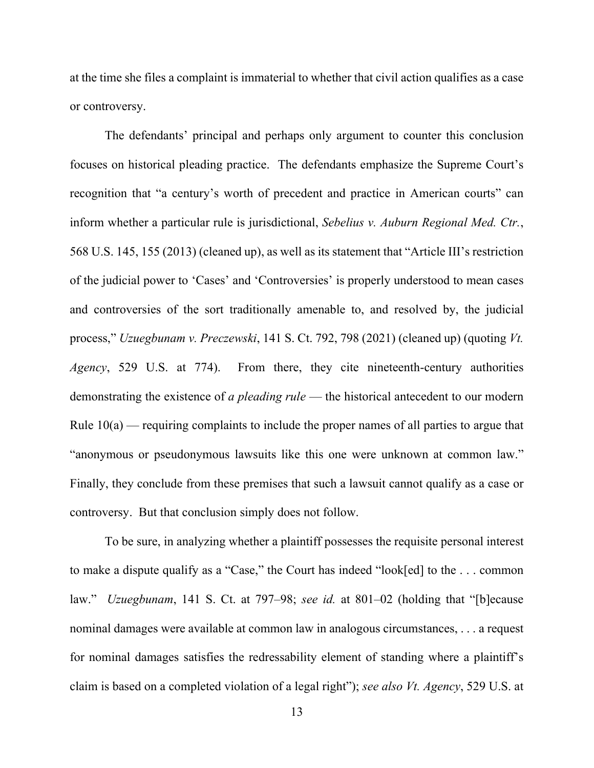at the time she files a complaint is immaterial to whether that civil action qualifies as a case or controversy.

The defendants' principal and perhaps only argument to counter this conclusion focuses on historical pleading practice. The defendants emphasize the Supreme Court's recognition that "a century's worth of precedent and practice in American courts" can inform whether a particular rule is jurisdictional, *Sebelius v. Auburn Regional Med. Ctr.*, 568 U.S. 145, 155 (2013) (cleaned up), as well as its statement that "Article III's restriction of the judicial power to 'Cases' and 'Controversies' is properly understood to mean cases and controversies of the sort traditionally amenable to, and resolved by, the judicial process," *Uzuegbunam v. Preczewski*, 141 S. Ct. 792, 798 (2021) (cleaned up) (quoting *Vt. Agency*, 529 U.S. at 774). From there, they cite nineteenth-century authorities demonstrating the existence of *a pleading rule* — the historical antecedent to our modern Rule  $10(a)$  — requiring complaints to include the proper names of all parties to argue that "anonymous or pseudonymous lawsuits like this one were unknown at common law." Finally, they conclude from these premises that such a lawsuit cannot qualify as a case or controversy. But that conclusion simply does not follow.

To be sure, in analyzing whether a plaintiff possesses the requisite personal interest to make a dispute qualify as a "Case," the Court has indeed "look[ed] to the . . . common law." *Uzuegbunam*, 141 S. Ct. at 797–98; *see id.* at 801–02 (holding that "[b]ecause nominal damages were available at common law in analogous circumstances, . . . a request for nominal damages satisfies the redressability element of standing where a plaintiff's claim is based on a completed violation of a legal right"); *see also Vt. Agency*, 529 U.S. at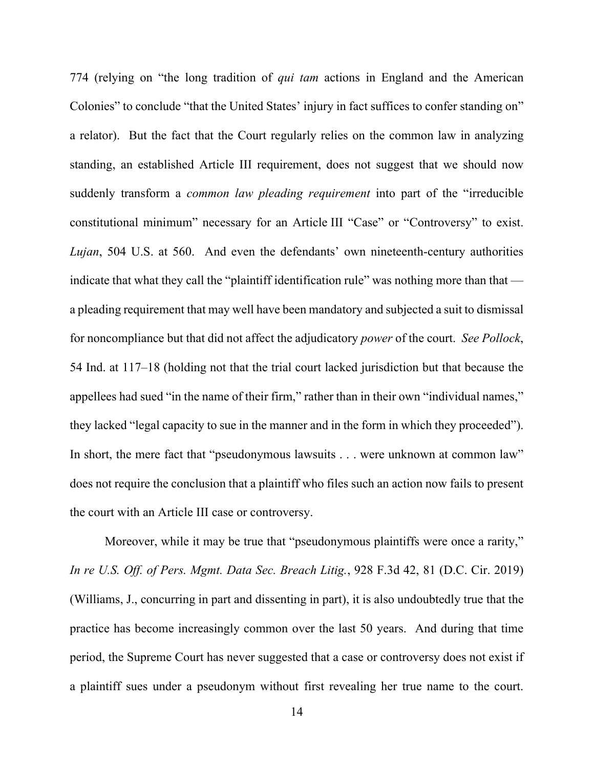774 (relying on "the long tradition of *qui tam* actions in England and the American Colonies" to conclude "that the United States' injury in fact suffices to confer standing on" a relator). But the fact that the Court regularly relies on the common law in analyzing standing, an established Article III requirement, does not suggest that we should now suddenly transform a *common law pleading requirement* into part of the "irreducible constitutional minimum" necessary for an Article III "Case" or "Controversy" to exist. *Lujan*, 504 U.S. at 560. And even the defendants' own nineteenth-century authorities indicate that what they call the "plaintiff identification rule" was nothing more than that a pleading requirement that may well have been mandatory and subjected a suit to dismissal for noncompliance but that did not affect the adjudicatory *power* of the court. *See Pollock*, 54 Ind. at 117–18 (holding not that the trial court lacked jurisdiction but that because the appellees had sued "in the name of their firm," rather than in their own "individual names," they lacked "legal capacity to sue in the manner and in the form in which they proceeded"). In short, the mere fact that "pseudonymous lawsuits . . . were unknown at common law" does not require the conclusion that a plaintiff who files such an action now fails to present the court with an Article III case or controversy.

Moreover, while it may be true that "pseudonymous plaintiffs were once a rarity," *In re U.S. Off. of Pers. Mgmt. Data Sec. Breach Litig.*, 928 F.3d 42, 81 (D.C. Cir. 2019) (Williams, J., concurring in part and dissenting in part), it is also undoubtedly true that the practice has become increasingly common over the last 50 years. And during that time period, the Supreme Court has never suggested that a case or controversy does not exist if a plaintiff sues under a pseudonym without first revealing her true name to the court.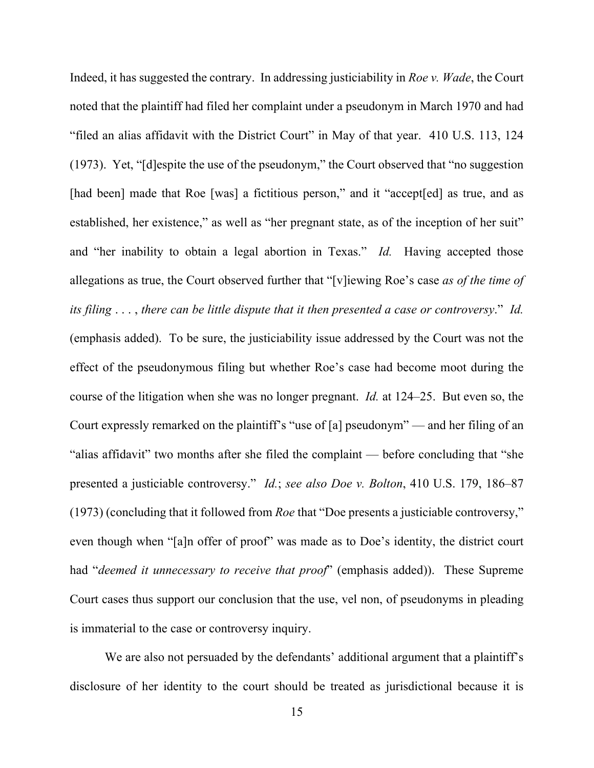Indeed, it has suggested the contrary. In addressing justiciability in *Roe v. Wade*, the Court noted that the plaintiff had filed her complaint under a pseudonym in March 1970 and had "filed an alias affidavit with the District Court" in May of that year. 410 U.S. 113, 124 (1973). Yet, "[d]espite the use of the pseudonym," the Court observed that "no suggestion [had been] made that Roe [was] a fictitious person," and it "accept[ed] as true, and as established, her existence," as well as "her pregnant state, as of the inception of her suit" and "her inability to obtain a legal abortion in Texas." *Id.* Having accepted those allegations as true, the Court observed further that "[v]iewing Roe's case *as of the time of its filing* . . . , *there can be little dispute that it then presented a case or controversy*." *Id.* (emphasis added). To be sure, the justiciability issue addressed by the Court was not the effect of the pseudonymous filing but whether Roe's case had become moot during the course of the litigation when she was no longer pregnant. *Id.* at 124–25. But even so, the Court expressly remarked on the plaintiff's "use of [a] pseudonym" — and her filing of an "alias affidavit" two months after she filed the complaint — before concluding that "she presented a justiciable controversy." *Id.*; *see also Doe v. Bolton*, 410 U.S. 179, 186–87 (1973) (concluding that it followed from *Roe* that "Doe presents a justiciable controversy," even though when "[a]n offer of proof" was made as to Doe's identity, the district court had "*deemed it unnecessary to receive that proof*" (emphasis added)). These Supreme Court cases thus support our conclusion that the use, vel non, of pseudonyms in pleading is immaterial to the case or controversy inquiry.

We are also not persuaded by the defendants' additional argument that a plaintiff's disclosure of her identity to the court should be treated as jurisdictional because it is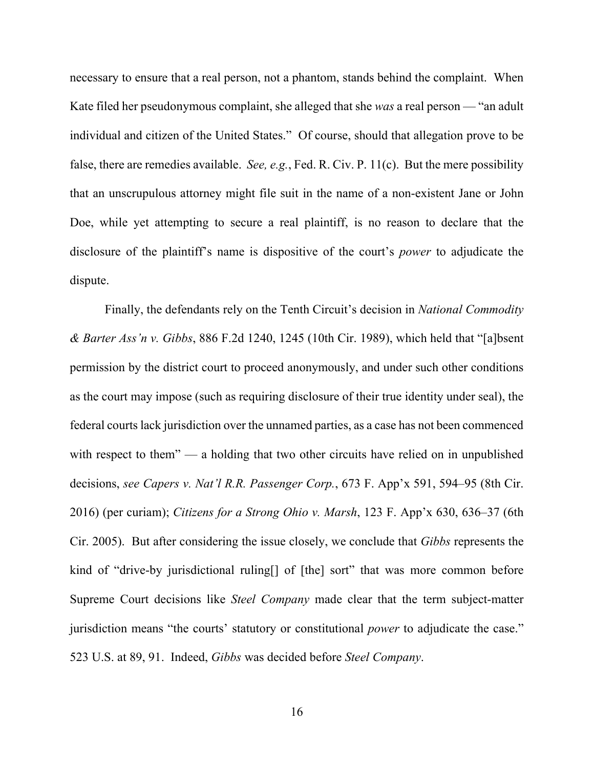necessary to ensure that a real person, not a phantom, stands behind the complaint. When Kate filed her pseudonymous complaint, she alleged that she *was* a real person — "an adult individual and citizen of the United States." Of course, should that allegation prove to be false, there are remedies available. *See, e.g.*, Fed. R. Civ. P. 11(c). But the mere possibility that an unscrupulous attorney might file suit in the name of a non-existent Jane or John Doe, while yet attempting to secure a real plaintiff, is no reason to declare that the disclosure of the plaintiff's name is dispositive of the court's *power* to adjudicate the dispute.

Finally, the defendants rely on the Tenth Circuit's decision in *National Commodity & Barter Ass'n v. Gibbs*, 886 F.2d 1240, 1245 (10th Cir. 1989), which held that "[a]bsent permission by the district court to proceed anonymously, and under such other conditions as the court may impose (such as requiring disclosure of their true identity under seal), the federal courts lack jurisdiction over the unnamed parties, as a case has not been commenced with respect to them" — a holding that two other circuits have relied on in unpublished decisions, *see Capers v. Nat'l R.R. Passenger Corp.*, 673 F. App'x 591, 594–95 (8th Cir. 2016) (per curiam); *Citizens for a Strong Ohio v. Marsh*, 123 F. App'x 630, 636–37 (6th Cir. 2005). But after considering the issue closely, we conclude that *Gibbs* represents the kind of "drive-by jurisdictional ruling<sup>[]</sup> of [the] sort" that was more common before Supreme Court decisions like *Steel Company* made clear that the term subject-matter jurisdiction means "the courts' statutory or constitutional *power* to adjudicate the case." 523 U.S. at 89, 91. Indeed, *Gibbs* was decided before *Steel Company*.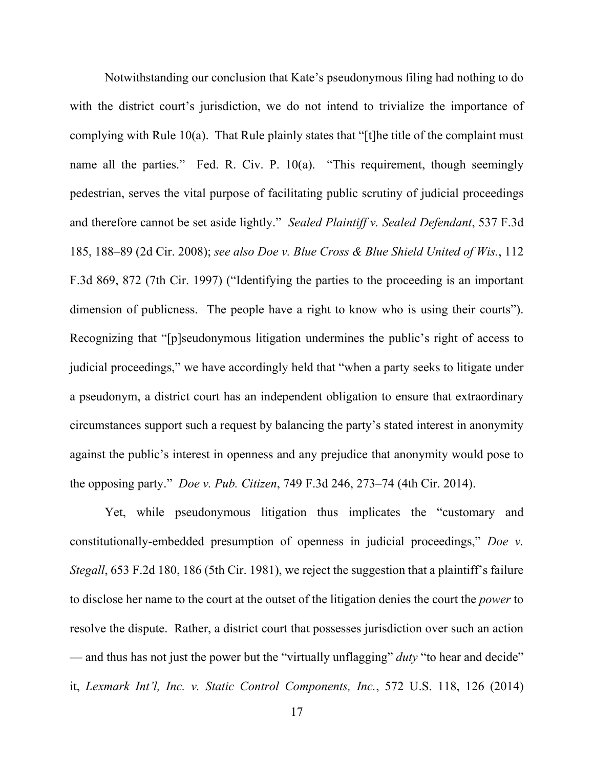Notwithstanding our conclusion that Kate's pseudonymous filing had nothing to do with the district court's jurisdiction, we do not intend to trivialize the importance of complying with Rule 10(a). That Rule plainly states that "[t]he title of the complaint must name all the parties." Fed. R. Civ. P. 10(a). "This requirement, though seemingly pedestrian, serves the vital purpose of facilitating public scrutiny of judicial proceedings and therefore cannot be set aside lightly." *Sealed Plaintiff v. Sealed Defendant*, 537 F.3d 185, 188–89 (2d Cir. 2008); *see also Doe v. Blue Cross & Blue Shield United of Wis.*, 112 F.3d 869, 872 (7th Cir. 1997) ("Identifying the parties to the proceeding is an important dimension of publicness. The people have a right to know who is using their courts"). Recognizing that "[p]seudonymous litigation undermines the public's right of access to judicial proceedings," we have accordingly held that "when a party seeks to litigate under a pseudonym, a district court has an independent obligation to ensure that extraordinary circumstances support such a request by balancing the party's stated interest in anonymity against the public's interest in openness and any prejudice that anonymity would pose to the opposing party." *Doe v. Pub. Citizen*, 749 F.3d 246, 273–74 (4th Cir. 2014).

Yet, while pseudonymous litigation thus implicates the "customary and constitutionally-embedded presumption of openness in judicial proceedings," *Doe v. Stegall*, 653 F.2d 180, 186 (5th Cir. 1981), we reject the suggestion that a plaintiff's failure to disclose her name to the court at the outset of the litigation denies the court the *power* to resolve the dispute. Rather, a district court that possesses jurisdiction over such an action — and thus has not just the power but the "virtually unflagging" *duty* "to hear and decide" it, *Lexmark Int'l, Inc. v. Static Control Components, Inc.*, 572 U.S. 118, 126 (2014)